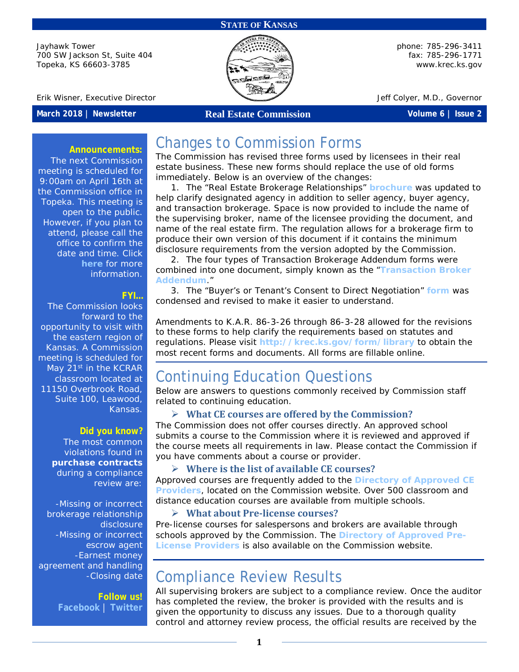#### **STATE OF KANSAS**

Jayhawk Tower 700 SW Jackson St, Suite 404 Topeka, KS 66603-3785



phone: 785-296-3411 fax: 785-296-1771 [www.krec.ks.gov](http://www.krec.ks.gov/)

Erik Wisner, Executive Director **Jeff Colyet, M.D., Governor** Jeff Colyer, M.D., Governor

### **March 2018 | Newsletter Real Estate Commission Volume 6 | Issue 2**

#### **Announcements:**

The next Commission meeting is scheduled for 9:00am on April 16th at the Commission office in Topeka. This meeting is open to the public. However, if you plan to attend, please call the office to confirm the date and time. Click **[here](http://krec.ks.gov/commission/commission-meetings)** for more information.

#### **FYI…**

The Commission looks forward to the opportunity to visit with the eastern region of Kansas. A Commission meeting is scheduled for May 21<sup>st</sup> in the KCRAR classroom located at 11150 Overbrook Road, Suite 100, Leawood, Kansas.

#### **Did you know?**

The most common violations found in **purchase contracts** during a compliance review are:

-Missing or incorrect brokerage relationship disclosure -Missing or incorrect escrow agent -Earnest money agreement and handling -Closing date

> **Follow us! [Facebook](https://www.facebook.com/kansasrealestatecommission)** | **[Twitter](https://twitter.com/KSRealEstateCom)**

# Changes to Commission Forms

The Commission has revised three forms used by licensees in their real estate business. These new forms should replace the use of old forms immediately. Below is an overview of the changes:

1. The "Real Estate Brokerage Relationships" **[brochure](http://krec.ks.gov/docs/default-source/forms/brochure.pdf?sfvrsn=e8f86ca3_8)** was updated to help clarify designated agency in addition to seller agency, buyer agency, and transaction brokerage. Space is now provided to include the name of the supervising broker, name of the licensee providing the document, and name of the real estate firm. The regulation allows for a brokerage firm to produce their own version of this document if it contains the minimum disclosure requirements from the version adopted by the Commission.

2. The four types of Transaction Brokerage Addendum forms were combined into one document, simply known as the "**[Transaction Broker](http://krec.ks.gov/docs/default-source/forms/transaction-broker-addendum.pdf?sfvrsn=f1f86ca3_4)  [Addendum](http://krec.ks.gov/docs/default-source/forms/transaction-broker-addendum.pdf?sfvrsn=f1f86ca3_4)**."

3. The "Buyer's or Tenant's Consent to Direct Negotiation" **[form](http://krec.ks.gov/docs/default-source/forms/consent-to-direct-negotiation.pdf?sfvrsn=e3f86ca3_6)** was condensed and revised to make it easier to understand.

Amendments to K.A.R. 86-3-26 through 86-3-28 allowed for the revisions to these forms to help clarify the requirements based on statutes and regulations. Please visit **<http://krec.ks.gov/form/library>** to obtain the most recent forms and documents. All forms are fillable online.

# Continuing Education Questions

Below are answers to questions commonly received by Commission staff related to continuing education.

### **What CE courses are offered by the Commission?**

The Commission does not offer courses directly. An approved school submits a course to the Commission where it is reviewed and approved if the course meets all requirements in law. Please contact the Commission if you have comments about a course or provider.

## **Where is the list of available CE courses?**

Approved courses are frequently added to the **[Directory of Approved CE](http://krec.ks.gov/licensing/continuing-education)  [Providers](http://krec.ks.gov/licensing/continuing-education)**, located on the Commission website. Over 500 classroom and distance education courses are available from multiple schools.

## **What about Pre-license courses?**

Pre-license courses for salespersons and brokers are available through schools approved by the Commission. The **[Directory of Approved Pre-](http://krec.ks.gov/licensing/pre-license-education)[License Providers](http://krec.ks.gov/licensing/pre-license-education)** is also available on the Commission website.

## Compliance Review Results

All supervising brokers are subject to a compliance review. Once the auditor has completed the review, the broker is provided with the results and is given the opportunity to discuss any issues. Due to a thorough quality control and attorney review process, the official results are received by the